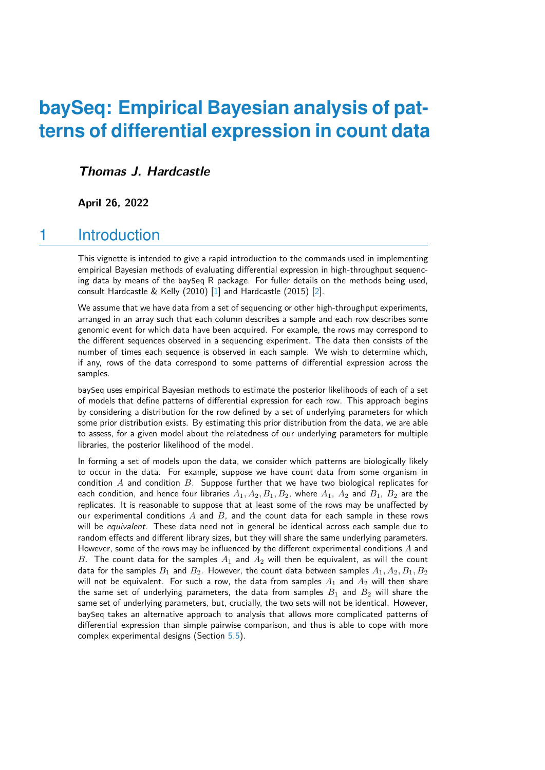# **baySeq: Empirical Bayesian analysis of patterns of differential expression in count data**

#### **Thomas J. Hardcastle**

**April 26, 2022**

## 1 Introduction

This vignette is intended to give a rapid introduction to the commands used in implementing empirical Bayesian methods of evaluating differential expression in high-throughput sequencing data by means of the baySeq R package. For fuller details on the methods being used, consult Hardcastle & Kelly (2010) [\[1\]](#page-16-0) and Hardcastle (2015) [\[2\]](#page-16-1).

We assume that we have data from a set of sequencing or other high-throughput experiments, arranged in an array such that each column describes a sample and each row describes some genomic event for which data have been acquired. For example, the rows may correspond to the different sequences observed in a sequencing experiment. The data then consists of the number of times each sequence is observed in each sample. We wish to determine which, if any, rows of the data correspond to some patterns of differential expression across the samples.

baySeq uses empirical Bayesian methods to estimate the posterior likelihoods of each of a set of models that define patterns of differential expression for each row. This approach begins by considering a distribution for the row defined by a set of underlying parameters for which some prior distribution exists. By estimating this prior distribution from the data, we are able to assess, for a given model about the relatedness of our underlying parameters for multiple libraries, the posterior likelihood of the model.

In forming a set of models upon the data, we consider which patterns are biologically likely to occur in the data. For example, suppose we have count data from some organism in condition  $A$  and condition  $B$ . Suppose further that we have two biological replicates for each condition, and hence four libraries  $A_1, A_2, B_1, B_2$ , where  $A_1$ ,  $A_2$  and  $B_1$ ,  $B_2$  are the replicates. It is reasonable to suppose that at least some of the rows may be unaffected by our experimental conditions  $A$  and  $B$ , and the count data for each sample in these rows will be equivalent. These data need not in general be identical across each sample due to random effects and different library sizes, but they will share the same underlying parameters. However, some of the rows may be influenced by the different experimental conditions  $A$  and B. The count data for the samples  $A_1$  and  $A_2$  will then be equivalent, as will the count data for the samples  $B_1$  and  $B_2$ . However, the count data between samples  $A_1, A_2, B_1, B_2$ will not be equivalent. For such a row, the data from samples  $A_1$  and  $A_2$  will then share the same set of underlying parameters, the data from samples  $B_1$  and  $B_2$  will share the same set of underlying parameters, but, crucially, the two sets will not be identical. However, baySeq takes an alternative approach to analysis that allows more complicated patterns of differential expression than simple pairwise comparison, and thus is able to cope with more complex experimental designs (Section [5.5\)](#page-12-0).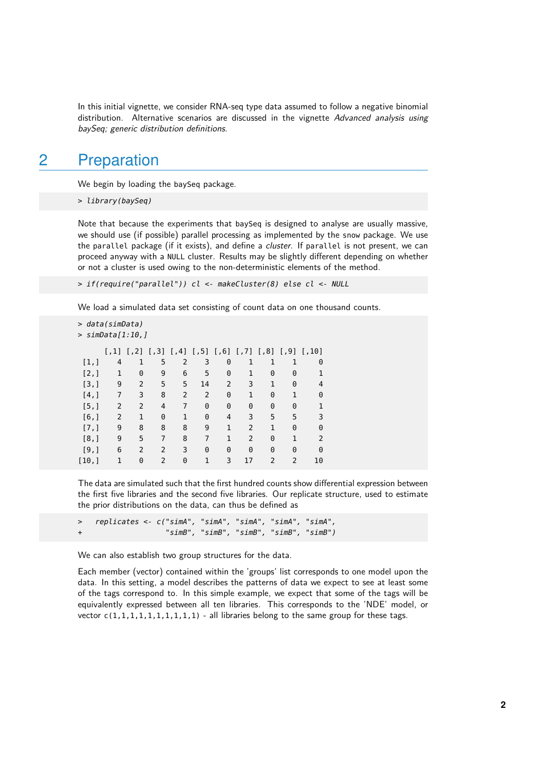In this initial vignette, we consider RNA-seq type data assumed to follow a negative binomial distribution. Alternative scenarios are discussed in the vignette Advanced analysis using baySeq; generic distribution definitions.

## 2 Preparation

We begin by loading the baySeq package.

```
> library(baySeq)
```
Note that because the experiments that baySeq is designed to analyse are usually massive, we should use (if possible) parallel processing as implemented by the snow package. We use the parallel package (if it exists), and define a *cluster*. If parallel is not present, we can proceed anyway with a NULL cluster. Results may be slightly different depending on whether or not a cluster is used owing to the non-deterministic elements of the method.

> if(require("parallel")) cl <- makeCluster(8) else cl <- NULL

We load a simulated data set consisting of count data on one thousand counts.

```
> data(simData)
```

```
> simData[1:10,]
```

|       | $[1,1]$ |   | $[7,2]$ $[7,3]$ $[7,4]$ |                |    |   |    | $[$ ,5] $[$ ,6] $[$ ,7] $[$ ,8] $[$ ,9] |               | $[$ 10] |
|-------|---------|---|-------------------------|----------------|----|---|----|-----------------------------------------|---------------|---------|
| [1,]  | 4       |   | 5                       | $\overline{2}$ | 3  | 0 | 1  | 1                                       |               | 0       |
| [2,]  | 1       | 0 | 9                       | 6              | 5  | 0 | 1  | 0                                       | 0             |         |
| [3,]  | 9       | 2 | 5                       | 5              | 14 | 2 | 3  | 1                                       | 0             | 4       |
| [4,]  | 7       | 3 | 8                       | 2              | 2  | 0 | 1  | 0                                       |               | 0       |
| [5,]  | 2       | 2 | 4                       | 7              | 0  | 0 | 0  | 0                                       | 0             |         |
| [6,]  | 2       | 1 | 0                       | 1              | 0  | 4 | 3  | 5                                       | 5             | 3       |
| [7,]  | 9       | 8 | 8                       | 8              | 9  | 1 | 2  | 1                                       | 0             | 0       |
| [8,]  | 9       | 5 | 7                       | 8              | 7  | 1 | 2  | 0                                       | 1             | 2       |
| [9,]  | 6       | 2 | 2                       | 3              | 0  | 0 | 0  | 0                                       | 0             | 0       |
| [10,] | 1       | 0 | $\mathcal{P}$           | 0              |    | 3 | 17 | $\mathcal{P}$                           | $\mathcal{P}$ | 10      |

The data are simulated such that the first hundred counts show differential expression between the first five libraries and the second five libraries. Our replicate structure, used to estimate the prior distributions on the data, can thus be defined as

> replicates <- c("simA", "simA", "simA", "simA", "simA", " $simB"$ , " $simB"$ , " $simB"$ , " $simB"$ , " $simB"$ )

We can also establish two group structures for the data.

Each member (vector) contained within the 'groups' list corresponds to one model upon the data. In this setting, a model describes the patterns of data we expect to see at least some of the tags correspond to. In this simple example, we expect that some of the tags will be equivalently expressed between all ten libraries. This corresponds to the 'NDE' model, or vector  $c(1,1,1,1,1,1,1,1,1,1)$  - all libraries belong to the same group for these tags.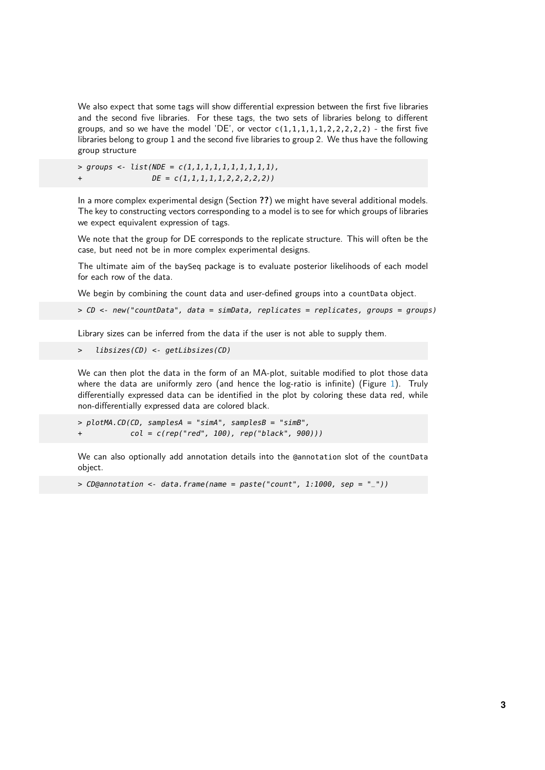We also expect that some tags will show differential expression between the first five libraries and the second five libraries. For these tags, the two sets of libraries belong to different groups, and so we have the model 'DE', or vector  $c(1,1,1,1,1,2,2,2,2,2)$  - the first five libraries belong to group 1 and the second five libraries to group 2. We thus have the following group structure

 $>$  groups <- list(NDE =  $c(1,1,1,1,1,1,1,1,1,1)$ ,  $DE = c(1,1,1,1,1,1,2,2,2,2,2)$ 

In a more complex experimental design (Section **??**) we might have several additional models. The key to constructing vectors corresponding to a model is to see for which groups of libraries we expect equivalent expression of tags.

We note that the group for DE corresponds to the replicate structure. This will often be the case, but need not be in more complex experimental designs.

The ultimate aim of the baySeq package is to evaluate posterior likelihoods of each model for each row of the data.

We begin by combining the count data and user-defined groups into a countData object.

> CD <- new("countData", data = simData, replicates = replicates, groups = groups)

Library sizes can be inferred from the data if the user is not able to supply them.

> libsizes(CD) <- getLibsizes(CD)

We can then plot the data in the form of an MA-plot, suitable modified to plot those data where the data are uniformly zero (and hence the log-ratio is infinite) (Figure [1\)](#page-3-0). Truly differentially expressed data can be identified in the plot by coloring these data red, while non-differentially expressed data are colored black.

```
> plotMA.CD(CD, samplesA = "simA", samplesB = "simB",
            col = c(rep("red", 100), rep("black", 900)))
```
We can also optionally add annotation details into the @annotation slot of the countData object.

 $>$  CD@annotation <- data.frame(name = paste("count", 1:1000, sep = "\_"))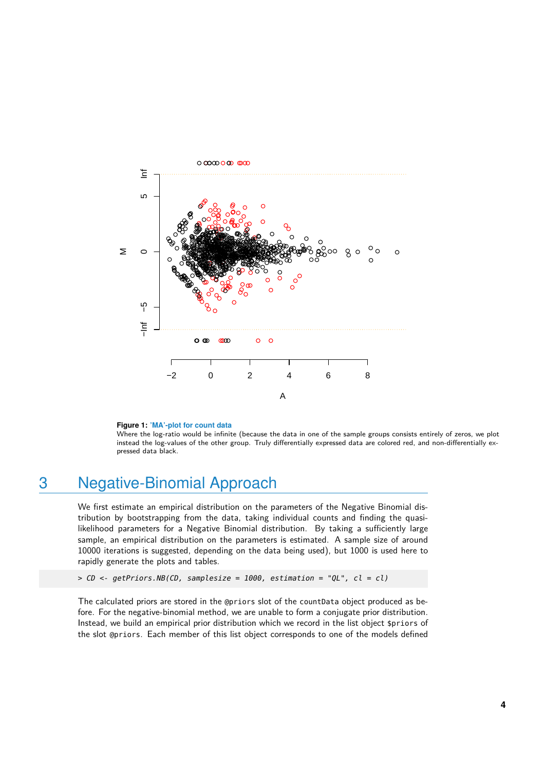<span id="page-3-0"></span>

#### **Figure 1: 'MA'-plot for count data**

Where the log-ratio would be infinite (because the data in one of the sample groups consists entirely of zeros, we plot instead the log-values of the other group. Truly differentially expressed data are colored red, and non-differentially expressed data black.

## 3 Negative-Binomial Approach

We first estimate an empirical distribution on the parameters of the Negative Binomial distribution by bootstrapping from the data, taking individual counts and finding the quasilikelihood parameters for a Negative Binomial distribution. By taking a sufficiently large sample, an empirical distribution on the parameters is estimated. A sample size of around 10000 iterations is suggested, depending on the data being used), but 1000 is used here to rapidly generate the plots and tables.

```
> CD < - getPriors.NB(CD, sample size = 1000, estimation = "QL", cl = cl)
```
The calculated priors are stored in the @priors slot of the countData object produced as before. For the negative-binomial method, we are unable to form a conjugate prior distribution. Instead, we build an empirical prior distribution which we record in the list object \$priors of the slot @priors. Each member of this list object corresponds to one of the models defined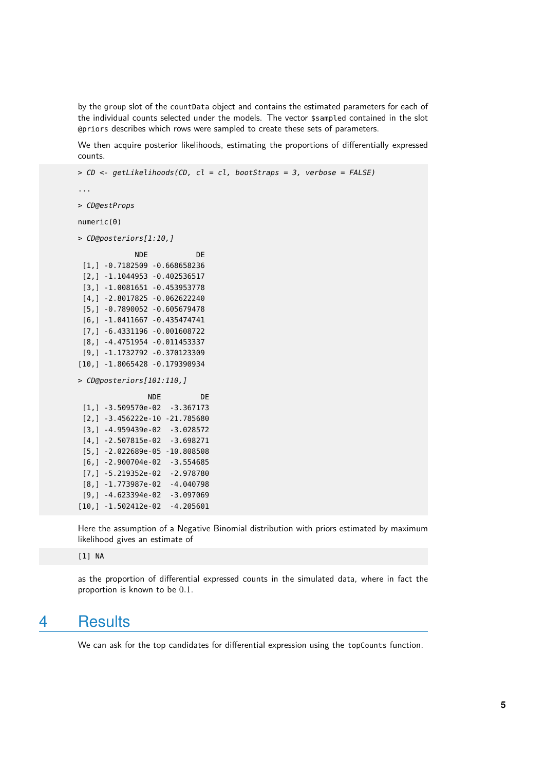by the group slot of the countData object and contains the estimated parameters for each of the individual counts selected under the models. The vector \$sampled contained in the slot @priors describes which rows were sampled to create these sets of parameters.

We then acquire posterior likelihoods, estimating the proportions of differentially expressed counts.

```
> CD <- getLikelihoods(CD, cl = cl, bootStraps = 3, verbose = FALSE)
...
> CD@estProps
numeric(0)
> CD@posteriors[1:10,]
            NDE DE
 [1,] -0.7182509 -0.668658236
 [2,] -1.1044953 -0.402536517
 [3,] -1.0081651 -0.453953778
 [4,] -2.8017825 -0.062622240
 [5,] -0.7890052 -0.605679478
 [6,] -1.0411667 -0.435474741
 [7,] -6.4331196 -0.001608722
 [8,] -4.4751954 -0.011453337
 [9,] -1.1732792 -0.370123309
[10,] -1.8065428 -0.179390934
> CD@posteriors[101:110,]
               NDE DE
 [1,] -3.509570e-02 -3.367173
 [2,] -3.456222e-10 -21.785680
 [3,] -4.959439e-02 -3.028572
 [4,] -2.507815e-02 -3.698271
 [5,] -2.022689e-05 -10.808508
 [6,] -2.900704e-02 -3.554685
 [7,] -5.219352e-02 -2.978780
 [8,] -1.773987e-02 -4.040798
 [9,] -4.623394e-02 -3.097069
[10,] -1.502412e-02 -4.205601
```
Here the assumption of a Negative Binomial distribution with priors estimated by maximum likelihood gives an estimate of

[1] NA

as the proportion of differential expressed counts in the simulated data, where in fact the proportion is known to be 0.1.

## 4 Results

We can ask for the top candidates for differential expression using the topCounts function.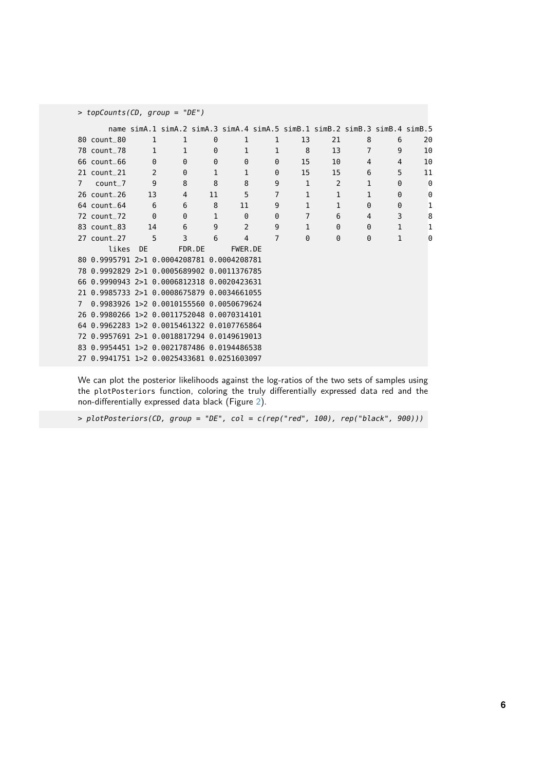| > topCounts(CD, group = "DE") |                 |          |                                                                            |              |              |                |                |              |                |                |    |
|-------------------------------|-----------------|----------|----------------------------------------------------------------------------|--------------|--------------|----------------|----------------|--------------|----------------|----------------|----|
|                               |                 |          | name simA.1 simA.2 simA.3 simA.4 simA.5 simB.1 simB.2 simB.3 simB.4 simB.5 |              |              |                |                |              |                |                |    |
|                               | 80 count_80     | 1        | 1                                                                          | 0            | 1            | 1              | 13             | 21           | 8              | 6              | 20 |
|                               | 78 count_78     | 1        | 1                                                                          | $\Theta$     | 1            | 1              | 8              | 13           | $\overline{7}$ | 9              | 10 |
|                               | $66$ count $66$ | $\Theta$ | $\Theta$                                                                   | $\Theta$     | $\Theta$     | 0              | 15             | 10           | 4              | $\overline{4}$ | 10 |
|                               | 21 count_21     | 2        | 0                                                                          | 1            | $\mathbf{1}$ | 0              | 15             | 15           | 6              | 5              | 11 |
| $\overline{7}$                | $count_7$       | 9        | 8                                                                          | 8            | 8            | 9              | 1              | 2            | 1              | $\Theta$       | 0  |
|                               | 26 count_26     | 13       | $\overline{4}$                                                             | 11           | 5            | $\overline{7}$ | $\mathbf{1}$   | $\mathbf{1}$ | $\mathbf{1}$   | $\Theta$       | 0  |
|                               | $64$ count $64$ | 6        | 6                                                                          | 8            | 11           | 9              | $\mathbf{1}$   | $\mathbf{1}$ | $\Theta$       | $\Theta$       | 1  |
|                               | 72 count_72     | $\Theta$ | $\Theta$                                                                   | $\mathbf{1}$ | $\Theta$     | 0              | $\overline{7}$ | 6            | 4              | 3              | 8  |
|                               | 83 count 83     | 14       | 6                                                                          | 9            | 2            | 9              | $\mathbf{1}$   | $\Theta$     | $\Theta$       | $\mathbf{1}$   | 1  |
|                               | 27 count_27     | 5        | 3                                                                          | 6            | 4            | 7              | $\Theta$       | $\Theta$     | $\Theta$       | 1              | 0  |
|                               | likes           | DF.      | FDR.DE                                                                     |              | FWER.DE      |                |                |              |                |                |    |
|                               |                 |          | 80 0.9995791 2>1 0.0004208781 0.0004208781                                 |              |              |                |                |              |                |                |    |
|                               |                 |          | 78 0.9992829 2>1 0.0005689902 0.0011376785                                 |              |              |                |                |              |                |                |    |
|                               |                 |          | 66 0.9990943 2>1 0.0006812318 0.0020423631                                 |              |              |                |                |              |                |                |    |
|                               |                 |          | 21 0.9985733 2>1 0.0008675879 0.0034661055                                 |              |              |                |                |              |                |                |    |
| $\overline{7}$                |                 |          | 0.9983926 1>2 0.0010155560 0.0050679624                                    |              |              |                |                |              |                |                |    |
|                               |                 |          | 26 0.9980266 1>2 0.0011752048 0.0070314101                                 |              |              |                |                |              |                |                |    |
|                               |                 |          | 64 0.9962283 1>2 0.0015461322 0.0107765864                                 |              |              |                |                |              |                |                |    |
|                               |                 |          | 72 0.9957691 2>1 0.0018817294 0.0149619013                                 |              |              |                |                |              |                |                |    |
|                               |                 |          | 83 0.9954451 1>2 0.0021787486 0.0194486538                                 |              |              |                |                |              |                |                |    |
|                               |                 |          | 27 0.9941751 1>2 0.0025433681 0.0251603097                                 |              |              |                |                |              |                |                |    |

We can plot the posterior likelihoods against the log-ratios of the two sets of samples using the plotPosteriors function, coloring the truly differentially expressed data red and the non-differentially expressed data black (Figure [2\)](#page-6-0).

> plotPosteriors(CD, group = "DE", col = c(rep("red", 100), rep("black", 900)))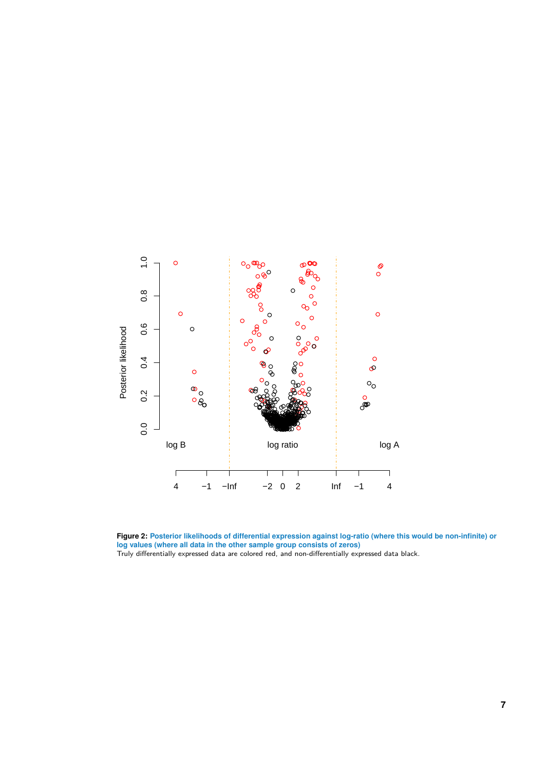<span id="page-6-0"></span>

**Figure 2: Posterior likelihoods of differential expression against log-ratio (where this would be non-infinite) or log values (where all data in the other sample group consists of zeros)**

Truly differentially expressed data are colored red, and non-differentially expressed data black.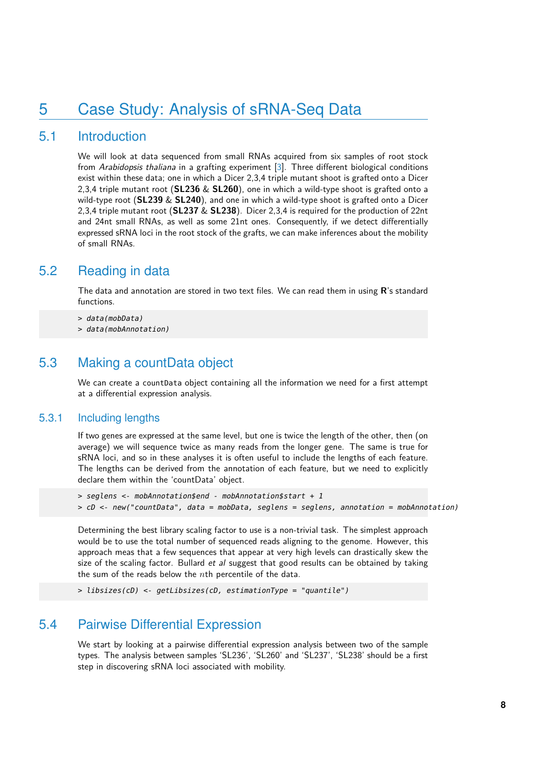## 5 Case Study: Analysis of sRNA-Seq Data

### 5.1 Introduction

We will look at data sequenced from small RNAs acquired from six samples of root stock from Arabidopsis thaliana in a grafting experiment [\[3\]](#page-16-2). Three different biological conditions exist within these data; one in which a Dicer 2,3,4 triple mutant shoot is grafted onto a Dicer 2,3,4 triple mutant root (**SL236** & **SL260**), one in which a wild-type shoot is grafted onto a wild-type root (**SL239** & **SL240**), and one in which a wild-type shoot is grafted onto a Dicer 2,3,4 triple mutant root (**SL237** & **SL238**). Dicer 2,3,4 is required for the production of 22nt and 24nt small RNAs, as well as some 21nt ones. Consequently, if we detect differentially expressed sRNA loci in the root stock of the grafts, we can make inferences about the mobility of small RNAs.

### 5.2 Reading in data

The data and annotation are stored in two text files. We can read them in using **R**'s standard functions.

> data(mobData)

> data(mobAnnotation)

### 5.3 Making a countData object

We can create a countData object containing all the information we need for a first attempt at a differential expression analysis.

#### 5.3.1 Including lengths

If two genes are expressed at the same level, but one is twice the length of the other, then (on average) we will sequence twice as many reads from the longer gene. The same is true for sRNA loci, and so in these analyses it is often useful to include the lengths of each feature. The lengths can be derived from the annotation of each feature, but we need to explicitly declare them within the 'countData' object.

```
> seglens <- mobAnnotation$end - mobAnnotation$start + 1
> cD <- new("countData", data = mobData, seglens = seglens, annotation = mobAnnotation)
```
Determining the best library scaling factor to use is a non-trivial task. The simplest approach would be to use the total number of sequenced reads aligning to the genome. However, this approach meas that a few sequences that appear at very high levels can drastically skew the size of the scaling factor. Bullard et al suggest that good results can be obtained by taking the sum of the reads below the  $n$ th percentile of the data.

```
> libsizes(cD) <- getLibsizes(cD, estimationType = "quantile")
```
### 5.4 Pairwise Differential Expression

We start by looking at a pairwise differential expression analysis between two of the sample types. The analysis between samples 'SL236', 'SL260' and 'SL237', 'SL238' should be a first step in discovering sRNA loci associated with mobility.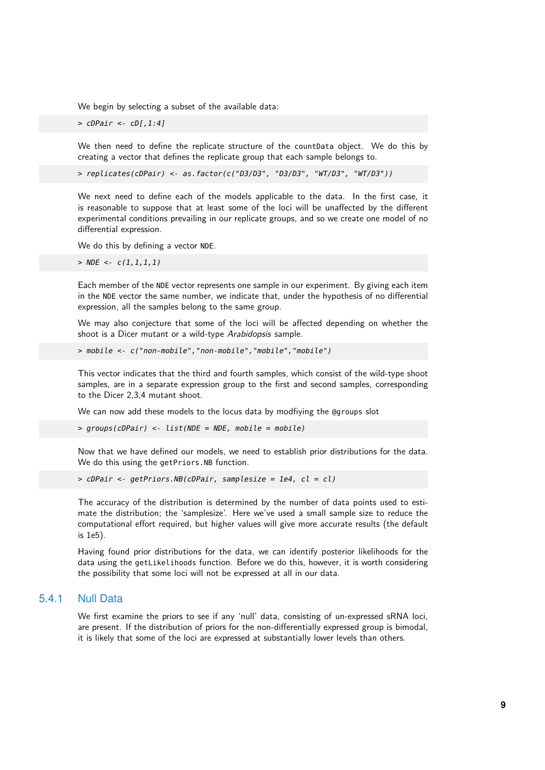We begin by selecting a subset of the available data:

 $>$   $c$ DPair  $< c$ D[,1:4]

We then need to define the replicate structure of the countData object. We do this by creating a vector that defines the replicate group that each sample belongs to.

> replicates(cDPair) <- as.factor(c("D3/D3", "D3/D3", "WT/D3", "WT/D3"))

We next need to define each of the models applicable to the data. In the first case, it is reasonable to suppose that at least some of the loci will be unaffected by the different experimental conditions prevailing in our replicate groups, and so we create one model of no differential expression.

We do this by defining a vector NDE.

 $>$  NDE <-  $c(1,1,1,1)$ 

Each member of the NDE vector represents one sample in our experiment. By giving each item in the NDE vector the same number, we indicate that, under the hypothesis of no differential expression, all the samples belong to the same group.

We may also conjecture that some of the loci will be affected depending on whether the shoot is a Dicer mutant or a wild-type Arabidopsis sample.

> mobile <- c("non-mobile","non-mobile","mobile","mobile")

This vector indicates that the third and fourth samples, which consist of the wild-type shoot samples, are in a separate expression group to the first and second samples, corresponding to the Dicer 2,3,4 mutant shoot.

We can now add these models to the locus data by modfiying the @groups slot

> groups(cDPair) <- list(NDE = NDE, mobile = mobile)

Now that we have defined our models, we need to establish prior distributions for the data. We do this using the getPriors.NB function.

> cDPair <- getPriors.NB(cDPair, samplesize = 1e4, cl = cl)

The accuracy of the distribution is determined by the number of data points used to estimate the distribution; the 'samplesize'. Here we've used a small sample size to reduce the computational effort required, but higher values will give more accurate results (the default is 1e5).

Having found prior distributions for the data, we can identify posterior likelihoods for the data using the getLikelihoods function. Before we do this, however, it is worth considering the possibility that some loci will not be expressed at all in our data.

#### 5.4.1 Null Data

We first examine the priors to see if any 'null' data, consisting of un-expressed sRNA loci, are present. If the distribution of priors for the non-differentially expressed group is bimodal, it is likely that some of the loci are expressed at substantially lower levels than others.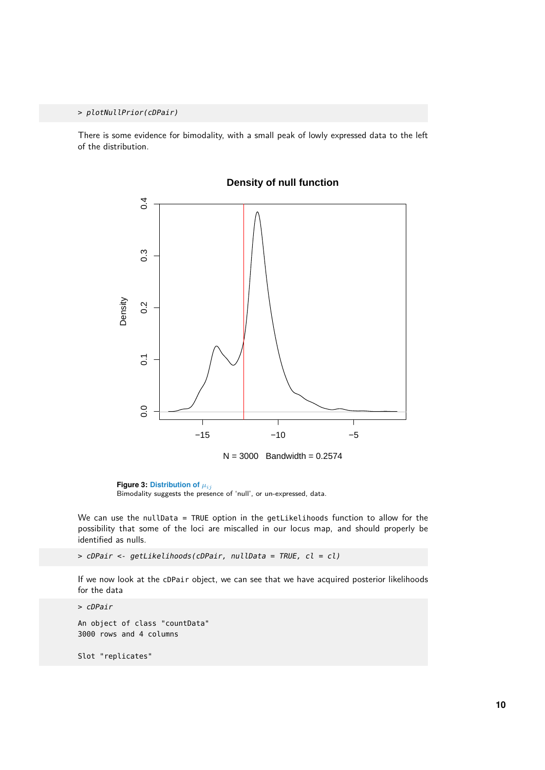> plotNullPrior(cDPair)

There is some evidence for bimodality, with a small peak of lowly expressed data to the left of the distribution.



#### **Density of null function**

**Figure 3: Distribution of**  $\mu_{ij}$ Bimodality suggests the presence of 'null', or un-expressed, data.

We can use the nullData = TRUE option in the getLikelihoods function to allow for the possibility that some of the loci are miscalled in our locus map, and should properly be identified as nulls.

> cDPair <- getLikelihoods(cDPair, nullData = TRUE, cl = cl)

If we now look at the cDPair object, we can see that we have acquired posterior likelihoods for the data

> cDPair An object of class "countData" 3000 rows and 4 columns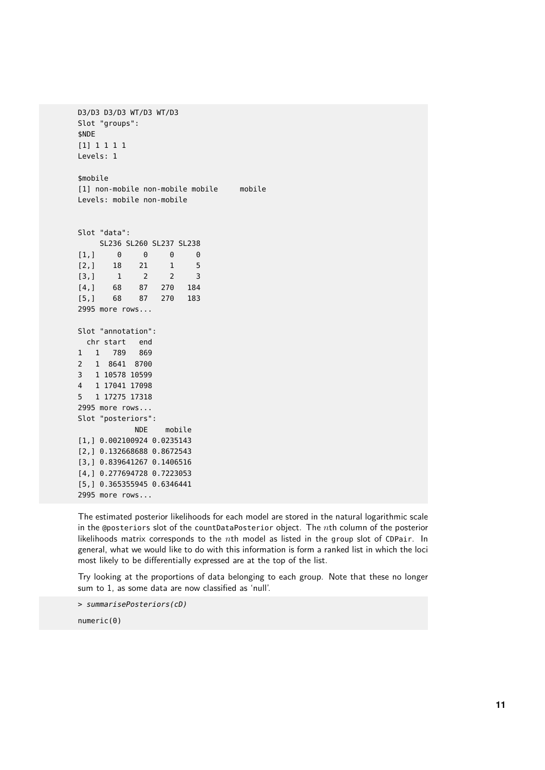D3/D3 D3/D3 WT/D3 WT/D3 Slot "groups": \$NDE [1] 1 1 1 1 Levels: 1 \$mobile [1] non-mobile non-mobile mobile mobile Levels: mobile non-mobile Slot "data": SL236 SL260 SL237 SL238  $[1,] 0 0 0 0$ [2,] 18 21 1 5 [3,] 1 2 2 3 [4,] 68 87 270 184 [5,] 68 87 270 183 2995 more rows... Slot "annotation": chr start end 1 1 789 869 2 1 8641 8700 3 1 10578 10599 4 1 17041 17098 5 1 17275 17318 2995 more rows... Slot "posteriors": NDE mobile [1,] 0.002100924 0.0235143 [2,] 0.132668688 0.8672543 [3,] 0.839641267 0.1406516 [4,] 0.277694728 0.7223053 [5,] 0.365355945 0.6346441 2995 more rows...

The estimated posterior likelihoods for each model are stored in the natural logarithmic scale in the @posteriors slot of the countDataPosterior object. The  $n$ th column of the posterior likelihoods matrix corresponds to the nth model as listed in the group slot of CDPair. In general, what we would like to do with this information is form a ranked list in which the loci most likely to be differentially expressed are at the top of the list.

Try looking at the proportions of data belonging to each group. Note that these no longer sum to 1, as some data are now classified as 'null'.

> summarisePosteriors(cD)

numeric(0)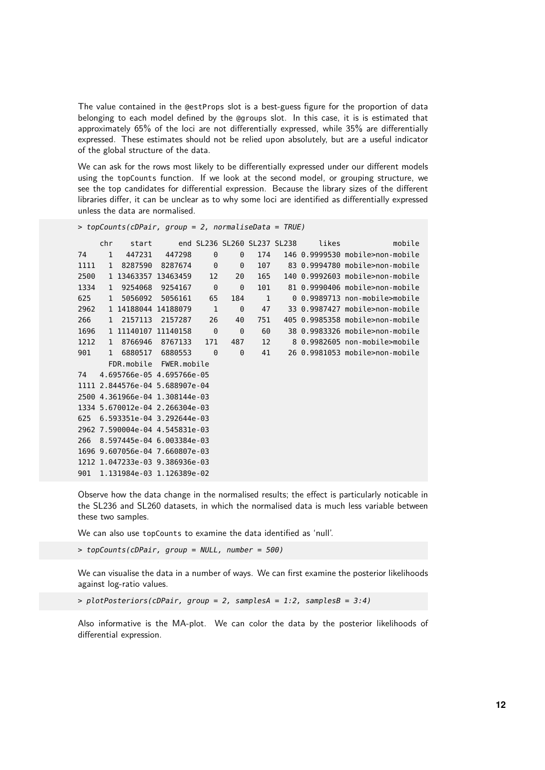The value contained in the @estProps slot is a best-guess figure for the proportion of data belonging to each model defined by the @groups slot. In this case, it is is estimated that approximately 65% of the loci are not differentially expressed, while 35% are differentially expressed. These estimates should not be relied upon absolutely, but are a useful indicator of the global structure of the data.

We can ask for the rows most likely to be differentially expressed under our different models using the topCounts function. If we look at the second model, or grouping structure, we see the top candidates for differential expression. Because the library sizes of the different libraries differ, it can be unclear as to why some loci are identified as differentially expressed unless the data are normalised.

```
> topCounts(cDPair, group = 2, normaliseData = TRUE)
```

|      | chr          | start               |                                |              |          | end SL236 SL260 SL237 SL238 | likes | mobile                          |
|------|--------------|---------------------|--------------------------------|--------------|----------|-----------------------------|-------|---------------------------------|
| 74   | $\mathbf{1}$ | 447231              | 447298                         | 0            | 0        | 174                         |       | 146 0.9999530 mobile>non-mobile |
| 1111 | $\mathbf{1}$ | 8287590             | 8287674                        | 0            | 0        | 107                         |       | 83 0.9994780 mobile>non-mobile  |
| 2500 |              | 1 13463357 13463459 |                                | 12           | 20       | 165                         |       | 140 0.9992603 mobile>non-mobile |
| 1334 | $\mathbf{1}$ | 9254068             | 9254167                        | $\Theta$     | $\Theta$ | 101                         |       | 81 0.9990406 mobile>non-mobile  |
| 625  | $\mathbf{1}$ | 5056092             | 5056161                        | 65           | 184      | 1                           |       | 0 0.9989713 non-mobile>mobile   |
| 2962 |              | 1 14188044 14188079 |                                | $\mathbf{1}$ | $\Theta$ | 47                          |       | 33 0.9987427 mobile>non-mobile  |
| 266  | $\mathbf{1}$ | 2157113             | 2157287                        | 26           | 40       | 751                         |       | 405 0.9985358 mobile>non-mobile |
| 1696 |              | 1 11140107 11140158 |                                | $\Theta$     | $\Theta$ | 60                          |       | 38 0.9983326 mobile>non-mobile  |
| 1212 | $\mathbf{1}$ | 8766946             | 8767133                        | 171          | 487      | 12                          |       | 8 0.9982605 non-mobile>mobile   |
| 901  | $\mathbf{1}$ | 6880517             | 6880553                        | 0            | 0        | 41                          |       | 26 0.9981053 mobile>non-mobile  |
|      |              |                     | FDR.mobile FWER.mobile         |              |          |                             |       |                                 |
| 74   |              |                     | 4.695766e-05 4.695766e-05      |              |          |                             |       |                                 |
|      |              |                     | 1111 2.844576e-04 5.688907e-04 |              |          |                             |       |                                 |
|      |              |                     | 2500 4.361966e-04 1.308144e-03 |              |          |                             |       |                                 |
|      |              |                     | 1334 5.670012e-04 2.266304e-03 |              |          |                             |       |                                 |
| 625  |              |                     | 6.593351e-04 3.292644e-03      |              |          |                             |       |                                 |
|      |              |                     | 2962 7.590004e-04 4.545831e-03 |              |          |                             |       |                                 |
| 266  |              |                     | 8.597445e-04 6.003384e-03      |              |          |                             |       |                                 |
|      |              |                     | 1696 9.607056e-04 7.660807e-03 |              |          |                             |       |                                 |
|      |              |                     | 1212 1.047233e-03 9.386936e-03 |              |          |                             |       |                                 |
|      |              |                     | 901 1.131984e-03 1.126389e-02  |              |          |                             |       |                                 |

Observe how the data change in the normalised results; the effect is particularly noticable in the SL236 and SL260 datasets, in which the normalised data is much less variable between these two samples.

We can also use topCounts to examine the data identified as 'null'.

> topCounts(cDPair, group = NULL, number = 500)

We can visualise the data in a number of ways. We can first examine the posterior likelihoods against log-ratio values.

 $>$  plotPosteriors(cDPair, group = 2, samplesA = 1:2, samplesB = 3:4)

Also informative is the MA-plot. We can color the data by the posterior likelihoods of differential expression.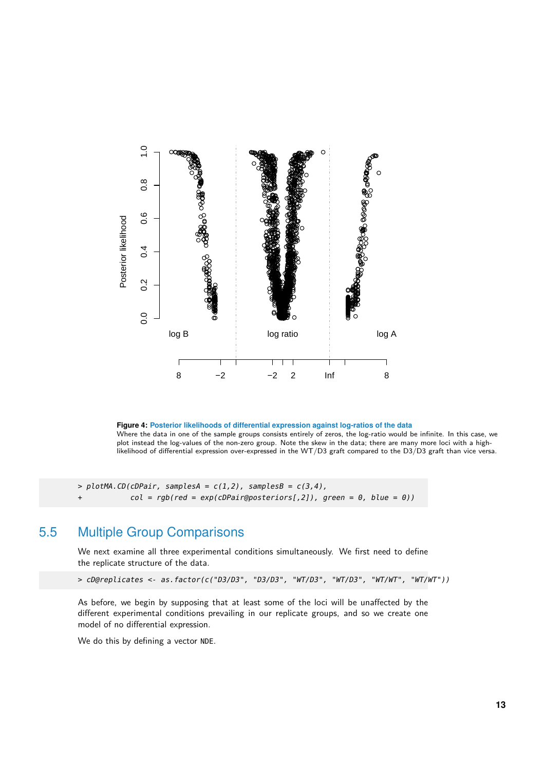

**Figure 4: Posterior likelihoods of differential expression against log-ratios of the data** Where the data in one of the sample groups consists entirely of zeros, the log-ratio would be infinite. In this case, we plot instead the log-values of the non-zero group. Note the skew in the data; there are many more loci with a highlikelihood of differential expression over-expressed in the WT/D3 graft compared to the D3/D3 graft than vice versa.

<span id="page-12-0"></span> $> plotMA$ . $CD$ (cDPair, samplesA =  $c(1,2)$ , samplesB =  $c(3,4)$ ,  $col = rqb(\text{red} = \exp(\text{cDPair@posteriors}[, 2]),$  green = 0, blue = 0))

### 5.5 Multiple Group Comparisons

We next examine all three experimental conditions simultaneously. We first need to define the replicate structure of the data.

```
> cD@replicates <- as.factor(c("D3/D3", "D3/D3", "WT/D3", "WT/D3", "WT/WT", "WT/WT"))
```
As before, we begin by supposing that at least some of the loci will be unaffected by the different experimental conditions prevailing in our replicate groups, and so we create one model of no differential expression.

We do this by defining a vector NDE.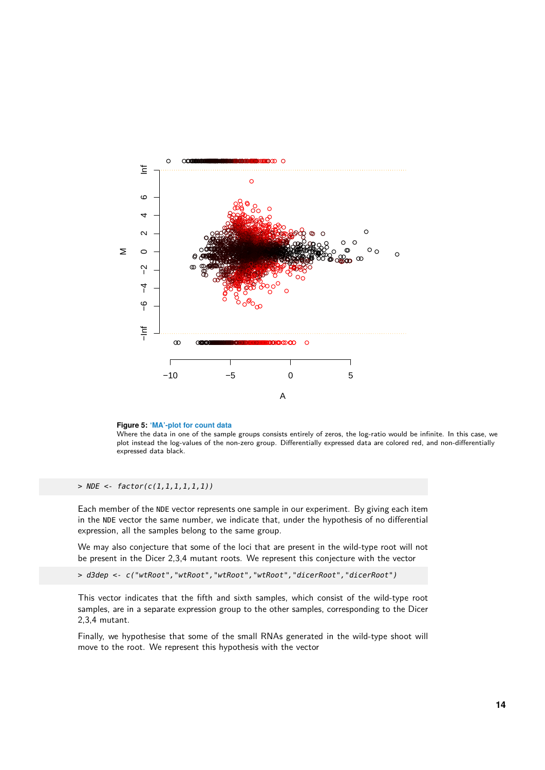



Where the data in one of the sample groups consists entirely of zeros, the log-ratio would be infinite. In this case, we plot instead the log-values of the non-zero group. Differentially expressed data are colored red, and non-differentially expressed data black.

 $>$  NDE <- factor(c(1,1,1,1,1,1))

Each member of the NDE vector represents one sample in our experiment. By giving each item in the NDE vector the same number, we indicate that, under the hypothesis of no differential expression, all the samples belong to the same group.

We may also conjecture that some of the loci that are present in the wild-type root will not be present in the Dicer 2,3,4 mutant roots. We represent this conjecture with the vector

> d3dep <- c("wtRoot","wtRoot","wtRoot","wtRoot","dicerRoot","dicerRoot")

This vector indicates that the fifth and sixth samples, which consist of the wild-type root samples, are in a separate expression group to the other samples, corresponding to the Dicer 2,3,4 mutant.

Finally, we hypothesise that some of the small RNAs generated in the wild-type shoot will move to the root. We represent this hypothesis with the vector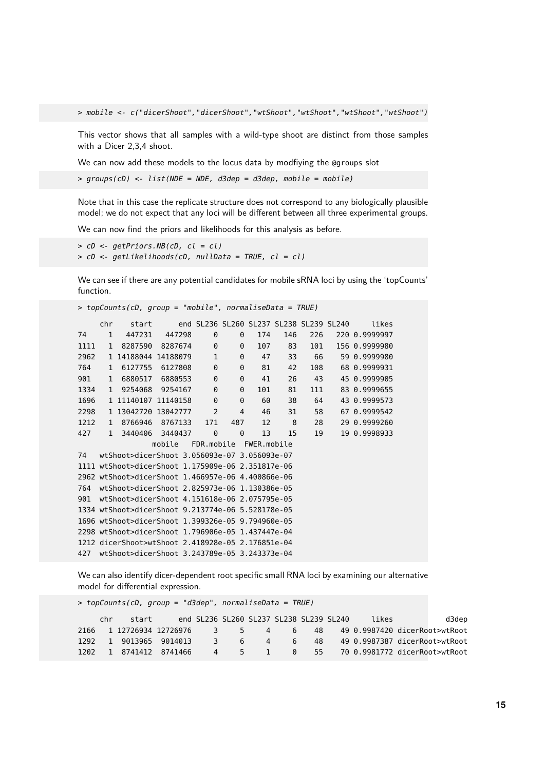> mobile <- c("dicerShoot","dicerShoot","wtShoot","wtShoot","wtShoot","wtShoot")

This vector shows that all samples with a wild-type shoot are distinct from those samples with a Dicer 2,3,4 shoot.

We can now add these models to the locus data by modfiying the @groups slot

 $>$  groups(cD) <- list(NDE = NDE, d3dep = d3dep, mobile = mobile)

Note that in this case the replicate structure does not correspond to any biologically plausible model; we do not expect that any loci will be different between all three experimental groups.

We can now find the priors and likelihoods for this analysis as before.

```
> cD \leq qetPriors.NB(cD, cl = cl)
> cD <- getLikelihoods(cD, nullData = TRUE, cl = cl)
```
We can see if there are any potential candidates for mobile sRNA loci by using the 'topCounts' function.

```
> topCounts(cD, group = "mobile", normaliseData = TRUE)
    chr start end SL236 SL260 SL237 SL238 SL239 SL240 likes
74 1 447231 447298 0 0 174 146 226 220 0.9999997
1111 1 8287590 8287674 0 0 107 83 101 156 0.9999980
2962 1 14188044 14188079 1 0 47 33 66 59 0.9999980
764 1 6127755 6127808 0 0 81 42 108 68 0.9999931
901 1 6880517 6880553 0 0 41 26 43 45 0.9999905
1334 1 9254068 9254167 0 0 101 81 111 83 0.9999655
1696 1 11140107 11140158 0 0 60 38 64 43 0.9999573
2298 1 13042720 13042777 2 4 46 31 58 67 0.9999542
1212 1 8766946 8767133 171 487 12 8 28 29 0.9999260
427 1 3440406 3440437 0 0 13 15 19 19 0.9998933
              mobile FDR.mobile FWER.mobile
74 wtShoot>dicerShoot 3.056093e-07 3.056093e-07
1111 wtShoot>dicerShoot 1.175909e-06 2.351817e-06
2962 wtShoot>dicerShoot 1.466957e-06 4.400866e-06
764 wtShoot>dicerShoot 2.825973e-06 1.130386e-05
901 wtShoot>dicerShoot 4.151618e-06 2.075795e-05
1334 wtShoot>dicerShoot 9.213774e-06 5.528178e-05
1696 wtShoot>dicerShoot 1.399326e-05 9.794960e-05
2298 wtShoot>dicerShoot 1.796906e-05 1.437447e-04
1212 dicerShoot>wtShoot 2.418928e-05 2.176851e-04
427 wtShoot>dicerShoot 3.243789e-05 3.243373e-04
```
We can also identify dicer-dependent root specific small RNA loci by examining our alternative model for differential expression.

> topCounts(cD, group = "d3dep", normaliseData = TRUE) chr start end SL236 SL260 SL237 SL238 SL239 SL240 likes d3dep 2166 1 12726934 12726976 3 5 4 6 48 49 0.9987420 dicerRoot>wtRoot 1292 1 9013965 9014013 3 6 4 6 48 49 0.9987387 dicerRoot>wtRoot 1202 1 8741412 8741466 4 5 1 0 55 70 0.9981772 dicerRoot>wtRoot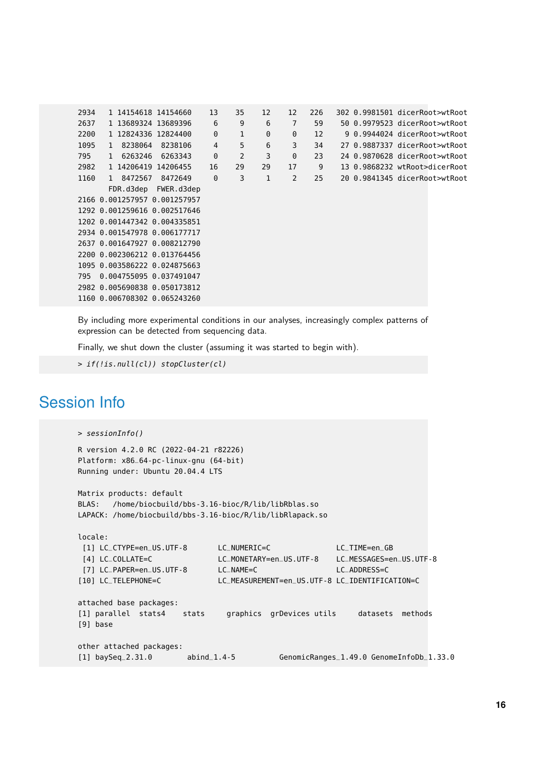| 2934 |                              | 1 14154618 14154660          | 13       | 35 | 12 | 12       | 226 |  | 302 0.9981501 dicerRoot>wtRoot |  |
|------|------------------------------|------------------------------|----------|----|----|----------|-----|--|--------------------------------|--|
| 2637 |                              | 1 13689324 13689396          | 6        | 9  | 6  | 7        | 59  |  | 50 0.9979523 dicerRoot>wtRoot  |  |
| 2200 |                              | 1 12824336 12824400          | 0        | 1  | 0  | 0        | 12  |  | 9 0.9944024 dicerRoot>wtRoot   |  |
| 1095 | 1 8238064                    | 8238106                      | 4        | 5  | 6  | 3        | 34  |  | 27 0.9887337 dicerRoot>wtRoot  |  |
| 795  | 1 6263246                    | 6263343                      | $\Theta$ | 2  | 3  | $\Theta$ | 23  |  | 24 0.9870628 dicerRoot>wtRoot  |  |
| 2982 |                              | 1 14206419 14206455          | 16       | 29 | 29 | 17       | 9   |  | 13 0.9868232 wtRoot>dicerRoot  |  |
| 1160 | 1 8472567                    | 8472649                      | $\Theta$ | 3  | 1  | 2        | 25  |  | 20 0.9841345 dicerRoot>wtRoot  |  |
|      |                              | FDR.d3dep FWER.d3dep         |          |    |    |          |     |  |                                |  |
|      | 2166 0.001257957 0.001257957 |                              |          |    |    |          |     |  |                                |  |
|      |                              | 1292 0.001259616 0.002517646 |          |    |    |          |     |  |                                |  |
|      | 1202 0.001447342 0.004335851 |                              |          |    |    |          |     |  |                                |  |
|      | 2934 0.001547978 0.006177717 |                              |          |    |    |          |     |  |                                |  |
|      |                              | 2637 0.001647927 0.008212790 |          |    |    |          |     |  |                                |  |
|      |                              | 2200 0.002306212 0.013764456 |          |    |    |          |     |  |                                |  |
|      | 1095 0.003586222 0.024875663 |                              |          |    |    |          |     |  |                                |  |
| 795  | 0.004755095 0.037491047      |                              |          |    |    |          |     |  |                                |  |
|      |                              | 2982 0.005690838 0.050173812 |          |    |    |          |     |  |                                |  |
|      |                              | 1160 0.006708302 0.065243260 |          |    |    |          |     |  |                                |  |
|      |                              |                              |          |    |    |          |     |  |                                |  |

By including more experimental conditions in our analyses, increasingly complex patterns of expression can be detected from sequencing data.

Finally, we shut down the cluster (assuming it was started to begin with).

```
> if(!is.null(cl)) stopCluster(cl)
```
## Session Info

```
> sessionInfo()
R version 4.2.0 RC (2022-04-21 r82226)
Platform: x86_64-pc-linux-gnu (64-bit)
Running under: Ubuntu 20.04.4 LTS
Matrix products: default
BLAS: /home/biocbuild/bbs-3.16-bioc/R/lib/libRblas.so
LAPACK: /home/biocbuild/bbs-3.16-bioc/R/lib/libRlapack.so
locale:
[1] LC_CTYPE=en_US.UTF-8 LC_NUMERIC=C LC_TIME=en_GB
[4] LC_COLLATE=C LC_MONETARY=en_US.UTF-8 LC_MESSAGES=en_US.UTF-8
[7] LC_PAPER=en_US.UTF-8 LC_NAME=C LC_ADDRESS=C
[10] LC_TELEPHONE=C LC_MEASUREMENT=en_US.UTF-8 LC_IDENTIFICATION=C
attached base packages:
[1] parallel stats4 stats graphics grDevices utils datasets methods
[9] base
other attached packages:
[1] baySeq_2.31.0 abind_1.4-5 GenomicRanges_1.49.0 GenomeInfoDb_1.33.0
```